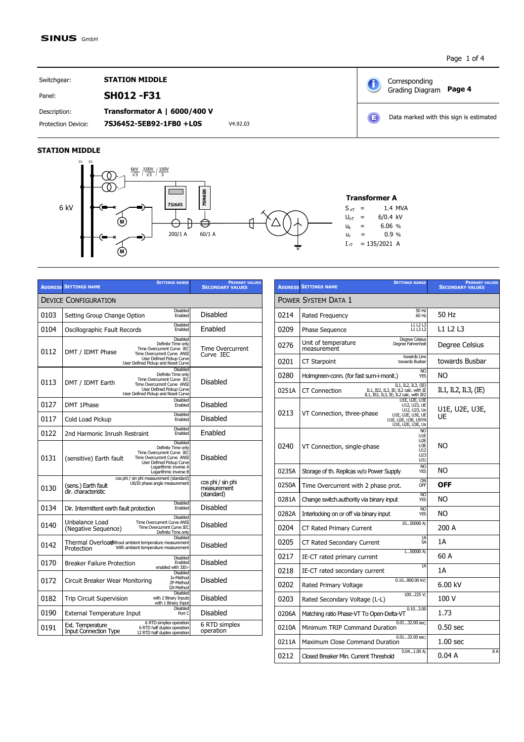Page 1 of 4

Corresponding

 $\mathbf 6$ 

 $\left( \blacksquare \right)$ 

Grading Diagram **Page 4**

Data marked with this sign is estimated

Switchgear: **STATION MIDDLE**  Panel: **SH012 -F31**

Description: **Transformator A | 6000/400 V**

## Protection Device: **7SJ6452-5EB92-1FB0 +L0S** V4.92.03

## **STATION MIDDLE**



|      | <b>SETTINGS RANGE</b><br><b>ADDRESS SETTINGS NAME</b>                                                                                                                                                        | <b>PRIMARY VALUES</b><br><b>SECONDARY VALUES</b> |
|------|--------------------------------------------------------------------------------------------------------------------------------------------------------------------------------------------------------------|--------------------------------------------------|
|      | <b>DEVICE CONFIGURATION</b>                                                                                                                                                                                  |                                                  |
| 0103 | <b>Disabled</b><br>Setting Group Change Option<br>Enabled                                                                                                                                                    | <b>Disabled</b>                                  |
| 0104 | <b>Disabled</b><br>Oscillographic Fault Records<br>Fnabled                                                                                                                                                   | Enabled                                          |
| 0112 | Disabled<br>Definite Time only<br>Time Overcurrent Curve IEC<br>DMT / IDMT Phase<br>Time Overcurrent Curve ANSI<br>User Defined Pickup Curve<br>User Defined Pickup and Reset Curve                          | <b>Time Overcurrent</b><br>Curve IEC             |
| 0113 | Disabled<br>Definite Time only<br>Time Overcurrent Curve IEC<br>Time Overcurrent Curve ANSI<br>DMT / IDMT Earth<br>User Defined Pickup Curve<br>User Defined Pickup and Reset Curve                          | Disabled                                         |
| 0127 | Disabled<br>DMT 1Phase<br>Enabled                                                                                                                                                                            | Disabled                                         |
| 0117 | <b>Disabled</b><br>Cold Load Pickup<br>Enabled                                                                                                                                                               | Disabled                                         |
| 0122 | <b>Disabled</b><br>2nd Harmonic Inrush Restraint<br>Enabled                                                                                                                                                  | Enabled                                          |
| 0131 | <b>Disabled</b><br>Definite Time only<br>Time Overcurrent Curve IEC<br>Time Overcurrent Curve ANSI<br>(sensitive) Earth fault<br>User Defined Pickup Curve<br>Logarithmic inverse A<br>Logarithmic inverse B | Disabled                                         |
| 0130 | cos phi / sin phi measurement (standard)<br>U0/I0 phase angle measurement<br>(sens.) Earth fault<br>dir. characteristic                                                                                      | cos phi / sin phi<br>measurement<br>(standard)   |
| 0134 | <b>Disabled</b><br>Dir. Intermittent earth fault protection<br>Enabled                                                                                                                                       | <b>Disabled</b>                                  |
| 0140 | <b>Disabled</b><br>Unbalance Load<br><b>Time Overcurrent Curve ANSI</b><br>Time Overcurrent Curve IEC<br>(Negative Sequence)<br>Definite Time only                                                           | Disabled                                         |
| 0142 | <b>Disabled</b><br>Thermal Overload ithout ambient temperature measurement<br>With ambient temperature measurement<br>Protection                                                                             | Disabled                                         |
| 0170 | <b>Disabled</b><br>Enabled<br><b>Breaker Failure Protection</b><br>enabled with 3I0>                                                                                                                         | Disabled                                         |
| 0172 | Disabled<br>Ix-Method<br>Circuit Breaker Wear Monitoring<br>2P-Method<br>I2t-Method                                                                                                                          | Disabled                                         |
| 0182 | Disabled<br><b>Trip Circuit Supervision</b><br>with 2 Binary Inputs<br>with 1 Binary Input                                                                                                                   | Disabled                                         |
| 0190 | <b>Disabled</b><br><b>External Temperature Input</b><br>Port C                                                                                                                                               | Disabled                                         |
| 0191 | 6 RTD simplex operation<br>Ext. Temperature<br>6 RTD half duplex operation<br><b>Input Connection Type</b><br>12 RTD half duplex operation                                                                   | 6 RTD simplex<br>operation                       |

|       | <b>SETTINGS RANGE</b><br><b>ADDRESS SETTINGS NAME</b>                                                                                        | <b>PRIMARY VALUES</b><br><b>SECONDARY VALUES</b> |
|-------|----------------------------------------------------------------------------------------------------------------------------------------------|--------------------------------------------------|
|       | POWER SYSTEM DATA 1                                                                                                                          |                                                  |
| 0214  | 50 Hz<br>Rated Frequency<br>60 Hz                                                                                                            | 50 Hz                                            |
| 0209  | L1L2L3<br>Phase Sequence<br>L1 L3 L2                                                                                                         | L1 L2 L3                                         |
| 0276  | Degree Celsius<br>Unit of temperature<br>Degree Fahrenheit<br>measurement                                                                    | Degree Celsius                                   |
| 0201  | towards Line<br>CT Starpoint<br>towards Busbar                                                                                               | towards Busbar                                   |
| 0280  | <b>NO</b><br>Holmgreen-conn. (for fast sum-i-monit.)<br><b>YES</b>                                                                           | ΝO                                               |
| 0251A | IL1, IL2, IL3, (IE)<br><b>CT Connection</b><br>IL1, IE2, IL3, IE; IL2 calc. with IE<br>IL1, IE2, IL3, IE; IL2 calc. with IE2                 | IL1, IL2, IL3, (IE)                              |
| 0213  | J1E, U2E, U3E<br>U12, U23, UE<br>U12, U23, Ux<br>VT Connection, three-phase<br>U1E, U2E, U3E, UE<br>U1E, U2E, U3E, USYN<br>U1E, U2E, U3E, Ux | U1E, U2E, U3E,<br>UE                             |
| 0240  | NO<br>U1E<br>U <sub>2</sub> E<br>VT Connection, single-phase<br>U3E<br>U12<br>U <sub>23</sub><br>U31                                         | NO                                               |
| 0235A | N <sub>O</sub><br>Storage of th. Replicas w/o Power Supply<br>YES                                                                            | NO.                                              |
| 0250A | ON<br>Time Overcurrent with 2 phase prot.<br>OFF                                                                                             | OFF                                              |
| 0281A | <b>NO</b><br>Change switch authority via binary input<br><b>YES</b>                                                                          | NO                                               |
| 0282A | <b>NO</b><br>Interlocking on or off via binary input<br>YES                                                                                  | NO.                                              |
| 0204  | 1050000 A;<br>CT Rated Primary Current                                                                                                       | 200 A                                            |
| 0205  | 1A<br>CT Rated Secondary Current<br>5A                                                                                                       | 1А                                               |
| 0217  | $150000A$ :<br>IE-CT rated primary current                                                                                                   | 60 A                                             |
| 0218  | 1A<br>IE-CT rated secondary current                                                                                                          | 1А                                               |
| 0202  | 0.10800.00 kV:<br>Rated Primary Voltage                                                                                                      | $6.00$ kV                                        |
| 0203  | 100225V;<br>Rated Secondary Voltage (L-L)                                                                                                    | 100 V                                            |
| 0206A | 0.103.00<br>Matching ratio Phase-VT To Open-Delta-VT                                                                                         | 1.73                                             |
| 0210A | 0.0132.00 sec;<br>Minimum TRIP Command Duration                                                                                              | $0.50$ sec                                       |
| 0211A | $0.0132.00$ sec:<br>Maximum Close Command Duration                                                                                           | 1.00 <sub>sec</sub>                              |
| 0212  | $0.041.00A$ ;<br>Closed Breaker Min, Current Threshold                                                                                       | 8A<br>0.04 A                                     |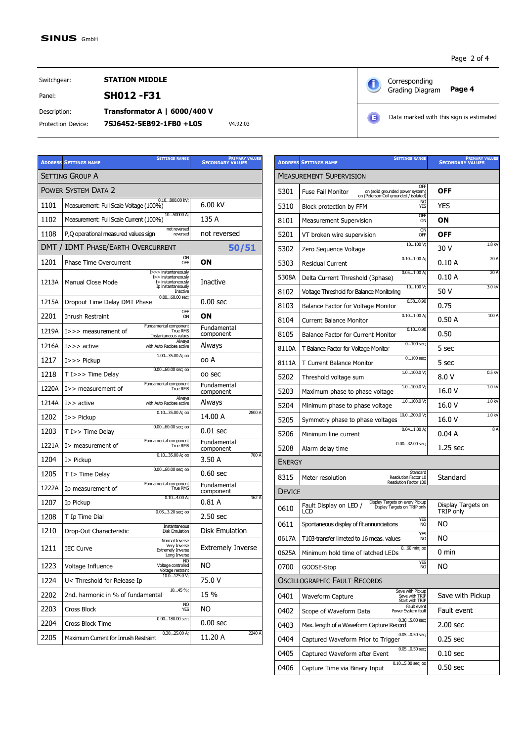**ADDRESS SETTINGS NAME**

SETTING GROUP A

**Page 4** Corresponding<br>
Grading Diagram Page 4 Corresponding

Switchgear: **STATION MIDDLE** 

Panel: **SH012 -F31**

Protection Device: **7SJ6452-5EB92-1FB0 +L0S** V4.92.03 Description: **Transformator A | 6000/400 V**

**SETTINGS RANGE** 

**SECONDARY VALUES PRIMARY VALUES**

| Б | <b>74.92.03</b><br>$\sim$ |  |
|---|---------------------------|--|
|   |                           |  |

|       | Е                                                                                                             | Data marked with this sign is estimated          |
|-------|---------------------------------------------------------------------------------------------------------------|--------------------------------------------------|
|       |                                                                                                               |                                                  |
|       | <b>SETTINGS RANGE</b><br><b>ADDRESS SETTINGS NAME</b>                                                         | <b>PRIMARY VALUES</b><br><b>SECONDARY VALUES</b> |
|       | <b>MEASUREMENT SUPERVISION</b>                                                                                |                                                  |
| 5301  | OFF<br><b>Fuse Fail Monitor</b><br>on (solid grounded power system)<br>on (Peterson-Coil grounded / isolated) | OFF                                              |
| 5310  | N <sub>O</sub><br>Block protection by FFM<br><b>YES</b>                                                       | <b>YES</b>                                       |
| 8101  | <b>OFF</b><br><b>Measurement Supervision</b><br>ON                                                            | OΝ                                               |
| 5201  | <b>ON</b><br>VT broken wire supervision<br>OFF                                                                | <b>OFF</b>                                       |
| 5302  | 10100V;<br>Zero Sequence Voltage                                                                              | 1.8 <sub>K</sub><br>30 V                         |
| 5303  | 0.101.00A;<br><b>Residual Current</b>                                                                         | 20 A<br>0.10A                                    |
| 5308A | $0.051.00A$ :<br>Delta Current Threshold (3phase)                                                             | 20A<br>0.10A                                     |
| 8102  | $10100V$ :<br>Voltage Threshold for Balance Monitoring                                                        | 3.0 <sub>k</sub><br>50 V                         |
| 8103  | 0.580.90<br>Balance Factor for Voltage Monitor                                                                | 0.75                                             |
|       | $0.10 - 1.00 \Delta$                                                                                          | $100 \Delta$                                     |

|       | <b>POWER SYSTEM DATA 2</b>                                                                                               |                          |  |  |
|-------|--------------------------------------------------------------------------------------------------------------------------|--------------------------|--|--|
| 1101  | 0.10800.00 kV;<br>Measurement: Full Scale Voltage (100%)                                                                 | 6.00 kV                  |  |  |
| 1102  | 1050000 A;<br>Measurement: Full Scale Current (100%)                                                                     | 135 A                    |  |  |
| 1108  | not reversed<br>not reversed<br>P,Q operational measured values sign<br>reversed                                         |                          |  |  |
|       | DMT / IDMT PHASE/EARTH OVERCURRENT                                                                                       | 50/51                    |  |  |
| 1201  | ON<br><b>Phase Time Overcurrent</b><br>OFF                                                                               | OΝ                       |  |  |
| 1213A | I>>> instantaneously<br>I>> instantaneously<br>Manual Close Mode<br>I> instantaneously<br>Ip instantaneously<br>Inactive | <b>Inactive</b>          |  |  |
| 1215A | $0.0060.00$ sec:<br>Dropout Time Delay DMT Phase                                                                         | 0.00 <sub>sec</sub>      |  |  |
| 2201  | OFF<br>Inrush Restraint<br>ON                                                                                            | ON                       |  |  |
| 1219A | Fundamental component<br>$I >>$ measurement of<br><b>True RMS</b><br>Instantaneous values                                | Fundamental<br>component |  |  |
| 1216A | Always<br>$I>>$ active<br>with Auto Reclose active                                                                       | Always                   |  |  |
| 1217  | 1.0035.00 A; oo<br>$I>>$ Pickup                                                                                          | oo A                     |  |  |
| 1218  | $0.0060.00$ sec; oo<br>T I>>> Time Delay                                                                                 | oo sec                   |  |  |
| 1220A | Fundamental component<br>I>> measurement of<br><b>True RMS</b>                                                           | Fundamental<br>component |  |  |
| 1214A | Always<br>$I>>$ active<br>with Auto Reclose active                                                                       | Always                   |  |  |
| 1202  | 0.1035.00 A; oo<br>I>> Pickup                                                                                            | 2800 A<br>14.00 A        |  |  |
| 1203  | $0.0060.00$ sec; oo<br>T I>> Time Delay                                                                                  | 0.01 sec                 |  |  |
| 1221A | Fundamental component<br>I > measurement of<br><b>True RMS</b>                                                           | Fundamental<br>component |  |  |
| 1204  | 0.1035.00 A; oo<br>I> Pickup                                                                                             | 700 A<br>3.50 A          |  |  |
| 1205  | $0.0060.00$ sec; oo<br>T I > Time Delay                                                                                  | 0.60 sec                 |  |  |
| 1222A | Fundamental component<br>Ip measurement of<br><b>True RMS</b>                                                            | Fundamental<br>component |  |  |
| 1207  | 0.104.00A;<br>Ip Pickup                                                                                                  | 162 A<br>0.81 A          |  |  |
| 1208  | 0.053.20 sec; oo<br>T Ip Time Dial                                                                                       | $2.50$ sec               |  |  |
| 1210  | Instantaneous<br>Drop-Out Characteristic<br><b>Disk Emulation</b>                                                        | <b>Disk Emulation</b>    |  |  |
| 1211  | Normal Inverse<br>Very Inverse<br><b>IEC Curve</b><br><b>Extremely Inverse</b><br>Long Inverse                           | <b>Extremely Inverse</b> |  |  |
| 1223  | NO.<br>Voltage controlled<br>Voltage Influence<br>Voltage restraint                                                      | NO.                      |  |  |
| 1224  | 10.0125.0V;<br>U< Threshold for Release Ip                                                                               | 75.0 V                   |  |  |
| 2202  | 1045%;<br>2nd. harmonic in % of fundamental                                                                              | 15 %                     |  |  |
| 2203  | <b>NO</b><br>Cross Block<br>YES                                                                                          | ΝO                       |  |  |
| 2204  | 0.00180.00 sec;<br><b>Cross Block Time</b>                                                                               | $0.00 \text{ sec}$       |  |  |
| 2205  | $0.3025.00$ A;<br>Maximum Current for Inrush Restraint                                                                   | 2240 A<br>11.20 A        |  |  |
|       |                                                                                                                          |                          |  |  |

| 10100 V;<br>Zero Sequence Voltage                                                                | 1.8 kV<br>30 V                        |  |  |
|--------------------------------------------------------------------------------------------------|---------------------------------------|--|--|
| 0.101.00A;<br><b>Residual Current</b>                                                            | 20 A<br>0.10A                         |  |  |
| 0.051.00A;<br>Delta Current Threshold (3phase)                                                   | 20A<br>0.10A                          |  |  |
| 10100 V;<br>50 V<br>8102<br>Voltage Threshold for Balance Monitoring                             |                                       |  |  |
| 0.580.90<br>Balance Factor for Voltage Monitor                                                   | 0.75                                  |  |  |
| 0.101.00A;<br><b>Current Balance Monitor</b>                                                     | 100A<br>0.50A                         |  |  |
| 0.100.90<br>Balance Factor for Current Monitor                                                   | 0.50                                  |  |  |
| $0100$ sec;<br>T Balance Factor for Voltage Monitor                                              | 5 sec                                 |  |  |
| $0100$ sec;<br>T Current Balance Monitor                                                         | 5 sec                                 |  |  |
| 1.0100.0V;<br>Threshold voltage sum                                                              | 0.5 kV<br>8.0V                        |  |  |
| 1.0100.0V;<br>Maximum phase to phase voltage                                                     | 1.0 <sub>KV</sub><br>16.0 V           |  |  |
| 1.0100.0V;<br>Minimum phase to phase voltage                                                     | 1.0 <sub>KV</sub><br>16.0 V           |  |  |
| 10.0200.0 V;<br>Symmetry phase to phase voltages                                                 | 1.0 kV<br>16.0 V                      |  |  |
| 0.041.00A;<br>Minimum line current                                                               | 8A<br>0.04 A                          |  |  |
| 0.0032.00 sec;<br>Alarm delay time                                                               | $1.25$ sec                            |  |  |
|                                                                                                  |                                       |  |  |
| Standard<br>Meter resolution<br>Resolution Factor 10<br>Resolution Factor 100                    | Standard                              |  |  |
|                                                                                                  |                                       |  |  |
| Display Targets on every Pickup<br>Fault Display on LED /<br>Display Targets on TRIP only<br>LCD | Display Targets on<br>TRÍP ónly       |  |  |
| Spontaneous display of flt.annunciations<br>N <sub>O</sub>                                       | ΝO                                    |  |  |
|                                                                                                  |                                       |  |  |
| YES<br>T103-transfer limeted to 16 meas. values<br><b>NC</b>                                     | NO.                                   |  |  |
| $060$ min; $00$<br>Minimum hold time of latched LEDs                                             | 0 min                                 |  |  |
| YES<br>GOOSE-Stop<br>N <sub>O</sub>                                                              | <b>NO</b>                             |  |  |
| <b>OSCILLOGRAPHIC FAULT RECORDS</b>                                                              |                                       |  |  |
| Save with Pickup<br>Waveform Capture<br>Save with TRIP                                           | Save with Pickup                      |  |  |
| Start with TRIP<br>Fault event<br>Scope of Waveform Data<br>Power System fault                   | Fault event                           |  |  |
| $0.305.00$ sec;<br>Max. length of a Waveform Capture Record                                      | 2.00 <sub>sec</sub>                   |  |  |
| $0.050.50$ sec;<br>Captured Waveform Prior to Trigger                                            | $0.25$ sec                            |  |  |
| 0.050.50 sec;<br>Captured Waveform after Event                                                   | $0.10$ sec                            |  |  |
|                                                                                                  | <b>ENERGY</b><br><b>DEVICE</b><br>YES |  |  |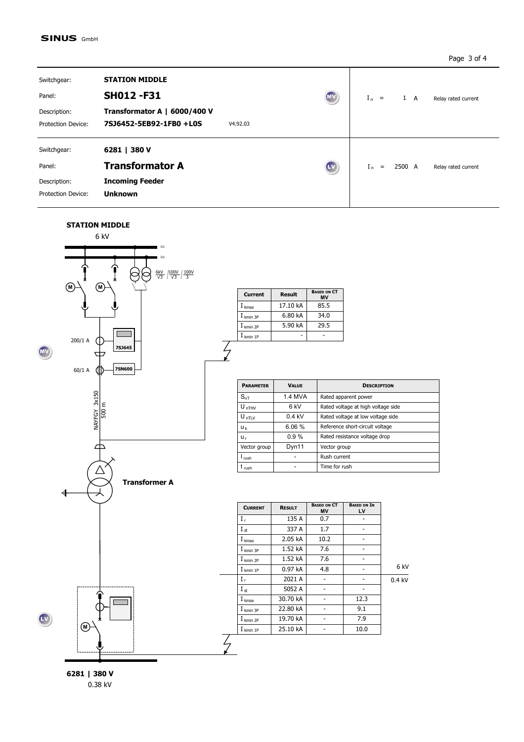## **SINUS GmbH**

Page 3 of 4

| Switchgear:<br>Panel:<br>Description:<br><b>Protection Device:</b> | <b>STATION MIDDLE</b><br><b>SH012-F31</b><br>Transformator A   6000/400 V<br>7SJ6452-5EB92-1FB0 +L0S<br>V4.92.03 | $(\overline{M}V)$ | $I_n =$<br>$1 \quad A$<br>Relay rated current |
|--------------------------------------------------------------------|------------------------------------------------------------------------------------------------------------------|-------------------|-----------------------------------------------|
| Switchgear:<br>Panel:<br>Description:<br>Protection Device:        | 6281   380 V<br><b>Transformator A</b><br><b>Incoming Feeder</b><br><b>Unknown</b>                               | $\mathbf{L}$ v    | $I_n =$<br>2500 A<br>Relay rated current      |

**STATION MIDDLE** 



**BASED ON CT MV**  $\frac{1 \text{ kmax}}{1 \text{ km in 3P}}$  17.10 kA 85.5  $\begin{array}{|c|c|c|c|}\n\hline\nI_{kmin 3P} & \multicolumn{1}{c|}{\bf 6.80 kA} & \multicolumn{1}{c|}{\bf 34.0}\n\hline\nI_{kmin 2P} & \multicolumn{1}{c|}{\bf 5.90 kA} & \multicolumn{1}{c|}{\bf 29.5}\n\hline\n\end{array}$  $\overline{I_{\text{kmin }2P}}$  5.90 kA  $I_{kmin 1P}$  - -**Current Result**

 $\frac{2}{\sqrt{2}}$ 

| <b>PARAMETER</b>  | <b>VALUE</b>    | <b>DESCRIPTION</b>                 |
|-------------------|-----------------|------------------------------------|
| $S_{nT}$          | 1.4 MVA         | Rated apparent power               |
| $U_{nTHV}$        | 6 <sub>kV</sub> | Rated voltage at high voltage side |
| $U_{nTLV}$        | $0.4$ kV        | Rated voltage at low voltage side  |
| Uk                | 6.06%           | Reference short-circuit voltage    |
| U <sub>r</sub>    | 0.9%            | Rated resistance voltage drop      |
| Vector group      | Dyn11           | Vector group                       |
| I <sub>rush</sub> |                 | Rush current                       |
| t <sub>rush</sub> |                 | Time for rush                      |

|          | <b>BASED ON IN</b><br>LV | <b>BASED ON CT</b><br><b>MV</b> | <b>RESULT</b> | <b>CURRENT</b>       |
|----------|--------------------------|---------------------------------|---------------|----------------------|
|          |                          | 0.7                             | 135 A         | $I_r$                |
|          |                          | 1.7                             | 337 A         | $I_{st}$             |
|          |                          | 10.2                            | 2.05 kA       | I <sub>kmax</sub>    |
|          |                          | 7.6                             | 1.52 kA       | I <sub>kmin 3P</sub> |
|          |                          | 7.6                             | 1.52 kA       | $I_{kmin 2P}$        |
| 6 kV     |                          | 4.8                             | 0.97kA        | $I_{kmin1P}$         |
| $0.4$ kV |                          |                                 | 2021 A        | $I_r$                |
|          |                          |                                 | 5052 A        | $I_{st}$             |
|          | 12.3                     |                                 | 30.70 kA      | I <sub>kmax</sub>    |
|          | 9.1                      |                                 | 22.80 kA      | $I_{kmin}$ 3P        |
|          | 7.9                      |                                 | 19.70 kA      | $I$ kmin 2P          |
|          | 10.0                     |                                 | 25.10 kA      | $I_{kmin1P}$         |

**6281 | 380 V** 0.38 kV